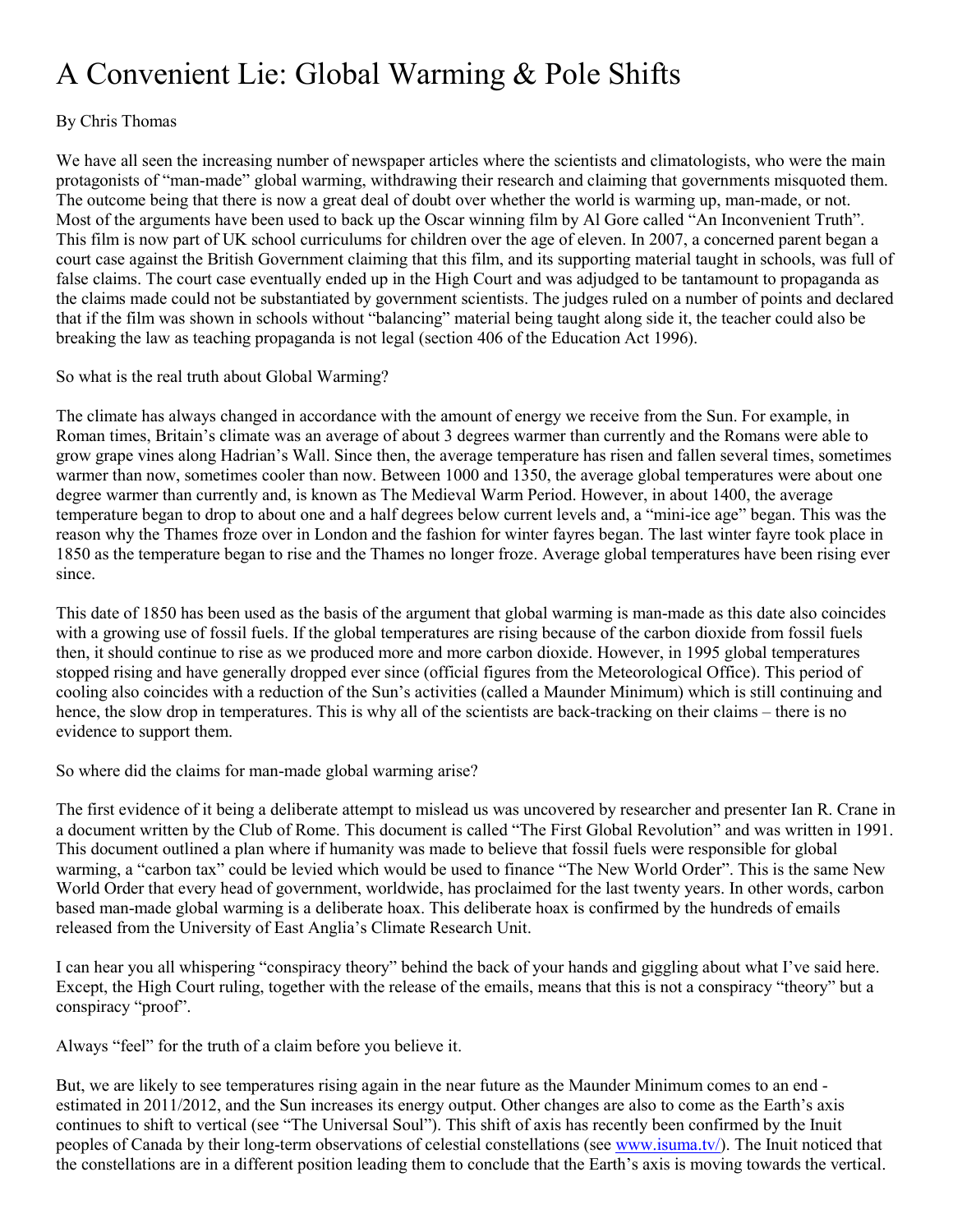## A Convenient Lie: Global Warming & Pole Shifts

## By Chris Thomas

We have all seen the increasing number of newspaper articles where the scientists and climatologists, who were the main protagonists of "man-made" global warming, withdrawing their research and claiming that governments misquoted them. The outcome being that there is now a great deal of doubt over whether the world is warming up, man-made, or not. Most of the arguments have been used to back up the Oscar winning film by Al Gore called "An Inconvenient Truth". This film is now part of UK school curriculums for children over the age of eleven. In 2007, a concerned parent began a court case against the British Government claiming that this film, and its supporting material taught in schools, was full of false claims. The court case eventually ended up in the High Court and was adjudged to be tantamount to propaganda as the claims made could not be substantiated by government scientists. The judges ruled on a number of points and declared that if the film was shown in schools without "balancing" material being taught along side it, the teacher could also be breaking the law as teaching propaganda is not legal (section 406 of the Education Act 1996).

## So what is the real truth about Global Warming?

The climate has always changed in accordance with the amount of energy we receive from the Sun. For example, in Roman times, Britain's climate was an average of about 3 degrees warmer than currently and the Romans were able to grow grape vines along Hadrian's Wall. Since then, the average temperature has risen and fallen several times, sometimes warmer than now, sometimes cooler than now. Between 1000 and 1350, the average global temperatures were about one degree warmer than currently and, is known as The Medieval Warm Period. However, in about 1400, the average temperature began to drop to about one and a half degrees below current levels and, a "mini-ice age" began. This was the reason why the Thames froze over in London and the fashion for winter fayres began. The last winter fayre took place in 1850 as the temperature began to rise and the Thames no longer froze. Average global temperatures have been rising ever since.

This date of 1850 has been used as the basis of the argument that global warming is man-made as this date also coincides with a growing use of fossil fuels. If the global temperatures are rising because of the carbon dioxide from fossil fuels then, it should continue to rise as we produced more and more carbon dioxide. However, in 1995 global temperatures stopped rising and have generally dropped ever since (official figures from the Meteorological Office). This period of cooling also coincides with a reduction of the Sun's activities (called a Maunder Minimum) which is still continuing and hence, the slow drop in temperatures. This is why all of the scientists are back-tracking on their claims – there is no evidence to support them.

So where did the claims for man-made global warming arise?

The first evidence of it being a deliberate attempt to mislead us was uncovered by researcher and presenter Ian R. Crane in a document written by the Club of Rome. This document is called "The First Global Revolution" and was written in 1991. This document outlined a plan where if humanity was made to believe that fossil fuels were responsible for global warming, a "carbon tax" could be levied which would be used to finance "The New World Order". This is the same New World Order that every head of government, worldwide, has proclaimed for the last twenty years. In other words, carbon based man-made global warming is a deliberate hoax. This deliberate hoax is confirmed by the hundreds of emails released from the University of East Anglia's Climate Research Unit.

I can hear you all whispering "conspiracy theory" behind the back of your hands and giggling about what I've said here. Except, the High Court ruling, together with the release of the emails, means that this is not a conspiracy "theory" but a conspiracy "proof".

Always "feel" for the truth of a claim before you believe it.

But, we are likely to see temperatures rising again in the near future as the Maunder Minimum comes to an end estimated in 2011/2012, and the Sun increases its energy output. Other changes are also to come as the Earth's axis continues to shift to vertical (see "The Universal Soul"). This shift of axis has recently been confirmed by the Inuit peoples of Canada by their long-term observations of celestial constellations (see [www.isum](http://www.isuma.tv/)a.tv/). The Inuit noticed that the constellations are in a different position leading them to conclude that the Earth's axis is moving towards the vertical.